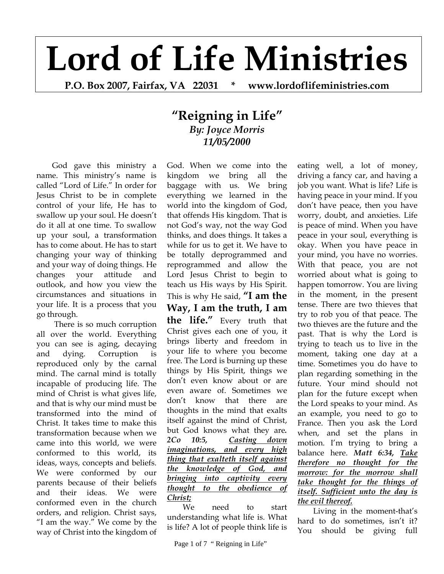## **Lord of Life Ministries**

**P.O. Box 2007, Fairfax, VA 22031 \* www.lordoflifeministries.com** 

## **"Reigning in Life"** *By: Joyce Morris 11/05/2000*

God gave this ministry a name. This ministry's name is called "Lord of Life." In order for Jesus Christ to be in complete control of your life, He has to swallow up your soul. He doesn't do it all at one time. To swallow up your soul, a transformation has to come about. He has to start changing your way of thinking and your way of doing things. He changes your attitude and outlook, and how you view the circumstances and situations in your life. It is a process that you go through.

 There is so much corruption all over the world. Everything you can see is aging, decaying and dying. Corruption is reproduced only by the carnal mind. The carnal mind is totally incapable of producing life. The mind of Christ is what gives life, and that is why our mind must be transformed into the mind of Christ. It takes time to make this transformation because when we came into this world, we were conformed to this world, its ideas, ways, concepts and beliefs. We were conformed by our parents because of their beliefs and their ideas. We were conformed even in the church orders, and religion. Christ says, "I am the way." We come by the way of Christ into the kingdom of

God. When we come into the kingdom we bring all the baggage with us. We bring everything we learned in the world into the kingdom of God, that offends His kingdom. That is not God's way, not the way God thinks, and does things. It takes a while for us to get it. We have to be totally deprogrammed and reprogrammed and allow the Lord Jesus Christ to begin to teach us His ways by His Spirit. This is why He said, **"I am the Way, I am the truth, I am the life."** Every truth that Christ gives each one of you, it brings liberty and freedom in your life to where you become free. The Lord is burning up these things by His Spirit, things we don't even know about or are even aware of. Sometimes we don't know that there are thoughts in the mind that exalts itself against the mind of Christ, but God knows what they are*. 2Co 10:5, Casting down imaginations, and every high thing that exalteth itself against the knowledge of God, and bringing into captivity every thought to the obedience of Christ;* 

We need to start understanding what life is. What is life? A lot of people think life is

eating well, a lot of money, driving a fancy car, and having a job you want. What is life? Life is having peace in your mind. If you don't have peace, then you have worry, doubt, and anxieties. Life is peace of mind. When you have peace in your soul, everything is okay. When you have peace in your mind, you have no worries. With that peace, you are not worried about what is going to happen tomorrow. You are living in the moment, in the present tense. There are two thieves that try to rob you of that peace. The two thieves are the future and the past. That is why the Lord is trying to teach us to live in the moment, taking one day at a time. Sometimes you do have to plan regarding something in the future. Your mind should not plan for the future except when the Lord speaks to your mind. As an example, you need to go to France. Then you ask the Lord when, and set the plans in motion. I'm trying to bring a balance here. *Matt 6:34, Take therefore no thought for the morrow: for the morrow shall take thought for the things of itself. Sufficient unto the day is the evil thereof.* 

Living in the moment-that's hard to do sometimes, isn't it? You should be giving full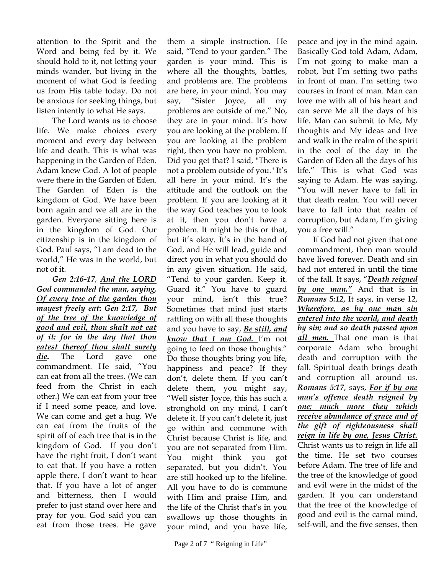attention to the Spirit and the Word and being fed by it. We should hold to it, not letting your minds wander, but living in the moment of what God is feeding us from His table today. Do not be anxious for seeking things, but listen intently to what He says.

The Lord wants us to choose life. We make choices every moment and every day between life and death. This is what was happening in the Garden of Eden. Adam knew God. A lot of people were there in the Garden of Eden. The Garden of Eden is the kingdom of God. We have been born again and we all are in the garden. Everyone sitting here is in the kingdom of God. Our citizenship is in the kingdom of God. Paul says, "I am dead to the world," He was in the world, but not of it.

*Gen 2:16-17*, *And the LORD God commanded the man, saying, Of every tree of the garden thou mayest freely eat***:** *Gen 2:17, But of the tree of the knowledge of good and evil, thou shalt not eat of it: for in the day that thou eatest thereof thou shalt surely die***.** The Lord gave one commandment. He said, "You can eat from all the trees. (We can feed from the Christ in each other.) We can eat from your tree if I need some peace, and love. We can come and get a hug. We can eat from the fruits of the spirit off of each tree that is in the kingdom of God. If you don't have the right fruit, I don't want to eat that. If you have a rotten apple there, I don't want to hear that. If you have a lot of anger and bitterness, then I would prefer to just stand over here and pray for you. God said you can eat from those trees. He gave

them a simple instruction. He said, "Tend to your garden." The garden is your mind. This is where all the thoughts, battles, and problems are. The problems are here, in your mind. You may say, "Sister Joyce, all my problems are outside of me." No, they are in your mind. It's how you are looking at the problem. If you are looking at the problem right, then you have no problem. Did you get that? I said, "There is not a problem outside of you." It's all here in your mind. It's the attitude and the outlook on the problem. If you are looking at it the way God teaches you to look at it, then you don't have a problem. It might be this or that, but it's okay. It's in the hand of God, and He will lead, guide and direct you in what you should do in any given situation. He said, "Tend to your garden. Keep it. Guard it." You have to guard your mind, isn't this true? Sometimes that mind just starts rattling on with all these thoughts and you have to say, *Be still, and know that I am God.* I'm not going to feed on those thoughts." Do those thoughts bring you life, happiness and peace? If they don't, delete them. If you can't delete them, you might say, "Well sister Joyce, this has such a stronghold on my mind, I can't delete it. If you can't delete it, just go within and commune with Christ because Christ is life, and you are not separated from Him. You might think you got separated, but you didn't. You are still hooked up to the lifeline. All you have to do is commune with Him and praise Him, and the life of the Christ that's in you swallows up those thoughts in your mind, and you have life,

peace and joy in the mind again. Basically God told Adam, Adam, I'm not going to make man a robot, but I'm setting two paths in front of man. I'm setting two courses in front of man. Man can love me with all of his heart and can serve Me all the days of his life. Man can submit to Me, My thoughts and My ideas and live and walk in the realm of the spirit in the cool of the day in the Garden of Eden all the days of his life." This is what God was saying to Adam. He was saying, "You will never have to fall in that death realm. You will never have to fall into that realm of corruption, but Adam, I'm giving you a free will."

If God had not given that one commandment, then man would have lived forever. Death and sin had not entered in until the time of the fall. It says, "*Death reigned by one man."* And that is in *Romans 5:12*, It says, in verse 12, *Wherefore, as by one man sin entered into the world, and death by sin; and so death passed upon all men.* That one man is that corporate Adam who brought death and corruption with the fall. Spiritual death brings death and corruption all around us. *Romans 5:17*, says, *For if by one man's offence death reigned by one; much more they which receive abundance of grace and of the gift of righteousness shall reign in life by one, Jesus Christ.* Christ wants us to reign in life all the time. He set two courses before Adam. The tree of life and the tree of the knowledge of good and evil were in the midst of the garden. If you can understand that the tree of the knowledge of good and evil is the carnal mind, self-will, and the five senses, then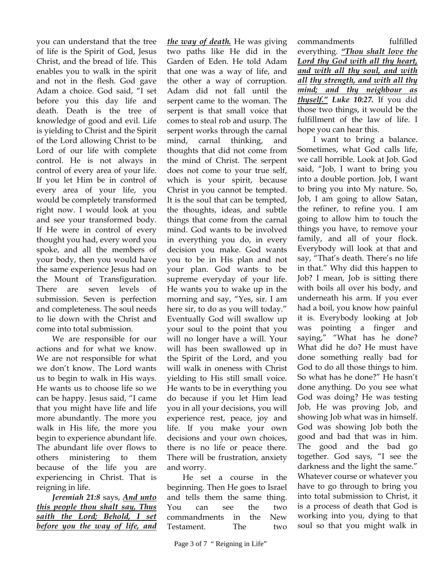you can understand that the tree of life is the Spirit of God, Jesus Christ, and the bread of life. This enables you to walk in the spirit and not in the flesh. God gave Adam a choice. God said, "I set before you this day life and death. Death is the tree of knowledge of good and evil. Life is yielding to Christ and the Spirit of the Lord allowing Christ to be Lord of our life with complete control. He is not always in control of every area of your life. If you let Him be in control of every area of your life, you would be completely transformed right now. I would look at you and see your transformed body. If He were in control of every thought you had, every word you spoke, and all the members of your body, then you would have the same experience Jesus had on the Mount of Transfiguration. There are seven levels of submission. Seven is perfection and completeness. The soul needs to lie down with the Christ and come into total submission.

We are responsible for our actions and for what we know. We are not responsible for what we don't know. The Lord wants us to begin to walk in His ways. He wants us to choose life so we can be happy. Jesus said, "I came that you might have life and life more abundantly. The more you walk in His life, the more you begin to experience abundant life. The abundant life over flows to others ministering to them because of the life you are experiencing in Christ. That is reigning in life.

*Jeremiah 21:8* says, *And unto this people thou shalt say, Thus saith the Lord; Behold, I set before you the way of life, and* 

*the way of death.* He was giving two paths like He did in the Garden of Eden. He told Adam that one was a way of life, and the other a way of corruption. Adam did not fall until the serpent came to the woman. The serpent is that small voice that comes to steal rob and usurp. The serpent works through the carnal mind, carnal thinking, and thoughts that did not come from the mind of Christ. The serpent does not come to your true self, which is your spirit, because Christ in you cannot be tempted. It is the soul that can be tempted, the thoughts, ideas, and subtle things that come from the carnal mind. God wants to be involved in everything you do, in every decision you make. God wants you to be in His plan and not your plan. God wants to be supreme everyday of your life. He wants you to wake up in the morning and say, "Yes, sir. I am here sir, to do as you will today." Eventually God will swallow up your soul to the point that you will no longer have a will. Your will has been swallowed up in the Spirit of the Lord, and you will walk in oneness with Christ yielding to His still small voice. He wants to be in everything you do because if you let Him lead you in all your decisions, you will experience rest, peace, joy and life. If you make your own decisions and your own choices, there is no life or peace there. There will be frustration, anxiety and worry.

He set a course in the beginning. Then He goes to Israel and tells them the same thing. You can see the two commandments in the New Testament. The two

commandments fulfilled everything. *"Thou shalt love the Lord thy God with all thy heart, and with all thy soul, and with all thy strength, and with all thy mind; and thy neighbour as thyself." Luke 10:27.* If you did those two things, it would be the fulfillment of the law of life. I hope you can hear this.

I want to bring a balance. Sometimes, what God calls life, we call horrible. Look at Job. God said, "Job, I want to bring you into a double portion. Job, I want to bring you into My nature. So, Job, I am going to allow Satan, the refiner, to refine you. I am going to allow him to touch the things you have, to remove your family, and all of your flock. Everybody will look at that and say, "That's death. There's no life in that." Why did this happen to Job? I mean, Job is sitting there with boils all over his body, and underneath his arm. If you ever had a boil, you know how painful it is. Everybody looking at Job was pointing a finger and saying," "What has he done? What did he do? He must have done something really bad for God to do all those things to him. So what has he done?" He hasn't done anything. Do you see what God was doing? He was testing Job, He was proving Job, and showing Job what was in himself. God was showing Job both the good and bad that was in him. The good and the bad go together. God says, "I see the darkness and the light the same." Whatever course or whatever you have to go through to bring you into total submission to Christ, it is a process of death that God is working into you, dying to that soul so that you might walk in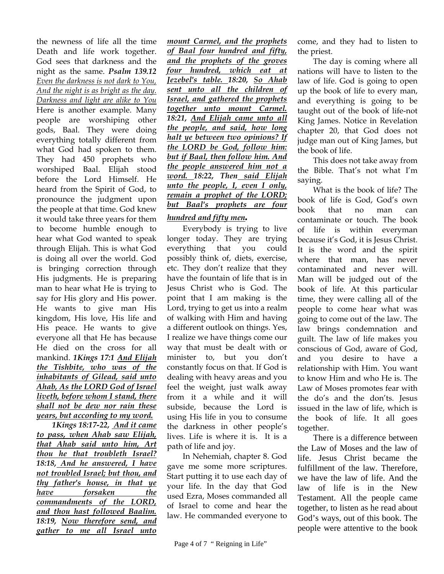the newness of life all the time Death and life work together. God sees that darkness and the night as the same. *Psalm 139.12 Even the darkness is not dark to You, And the night is as bright as the day. Darkness and light are alike to You* Here is another example. Many people are worshiping other gods, Baal. They were doing everything totally different from what God had spoken to them. They had 450 prophets who worshiped Baal. Elijah stood before the Lord Himself. He heard from the Spirit of God, to pronounce the judgment upon the people at that time. God knew it would take three years for them to become humble enough to hear what God wanted to speak through Elijah. This is what God is doing all over the world. God is bringing correction through His judgments. He is preparing man to hear what He is trying to say for His glory and His power. He wants to give man His kingdom, His love, His life and His peace. He wants to give everyone all that He has because He died on the cross for all mankind. *1Kings 17:1 And Elijah the Tishbite, who was of the inhabitants of Gilead, said unto Ahab, As the LORD God of Israel liveth, before whom I stand, there shall not be dew nor rain these years, but according to my word.* 

*1Kings 18:17-22, And it came to pass, when Ahab saw Elijah, that Ahab said unto him, Art thou he that troubleth Israel? 18:18, And he answered, I have not troubled Israel; but thou, and thy father's house, in that ye have forsaken the commandments of the LORD, and thou hast followed Baalim. 18:19, Now therefore send, and gather to me all Israel unto* 

*mount Carmel, and the prophets of Baal four hundred and fifty, and the prophets of the groves four hundred, which eat at Jezebel's table. 18:20, So Ahab sent unto all the children of Israel, and gathered the prophets together unto mount Carmel. 18:21, And Elijah came unto all the people, and said, how long halt ye between two opinions? If the LORD be God, follow him: but if Baal, then follow him. And the people answered him not a word. 18:22, Then said Elijah unto the people, I, even I only, remain a prophet of the LORD; but Baal's prophets are four* 

## *hundred and fifty men.*

Everybody is trying to live longer today. They are trying everything that you could possibly think of, diets, exercise, etc. They don't realize that they have the fountain of life that is in Jesus Christ who is God. The point that I am making is the Lord, trying to get us into a realm of walking with Him and having a different outlook on things. Yes, I realize we have things come our way that must be dealt with or minister to, but you don't constantly focus on that. If God is dealing with heavy areas and you feel the weight, just walk away from it a while and it will subside, because the Lord is using His life in you to consume the darkness in other people's lives. Life is where it is. It is a path of life and joy.

In Nehemiah, chapter 8. God gave me some more scriptures. Start putting it to use each day of your life. In the day that God used Ezra, Moses commanded all of Israel to come and hear the law. He commanded everyone to come, and they had to listen to the priest.

The day is coming where all nations will have to listen to the law of life. God is going to open up the book of life to every man, and everything is going to be taught out of the book of life-not King James. Notice in Revelation chapter 20, that God does not judge man out of King James, but the book of life.

This does not take away from the Bible. That's not what I'm saying.

What is the book of life? The book of life is God, God's own book that no man can contaminate or touch. The book of life is within everyman because it's God, it is Jesus Christ. It is the word and the spirit where that man, has never contaminated and never will. Man will be judged out of the book of life. At this particular time, they were calling all of the people to come hear what was going to come out of the law. The law brings condemnation and guilt. The law of life makes you conscious of God, aware of God, and you desire to have a relationship with Him. You want to know Him and who He is. The Law of Moses promotes fear with the do's and the don'ts. Jesus issued in the law of life, which is the book of life. It all goes together.

There is a difference between the Law of Moses and the law of life. Jesus Christ became the fulfillment of the law. Therefore, we have the law of life. And the law of life is in the New Testament. All the people came together, to listen as he read about God's ways, out of this book. The people were attentive to the book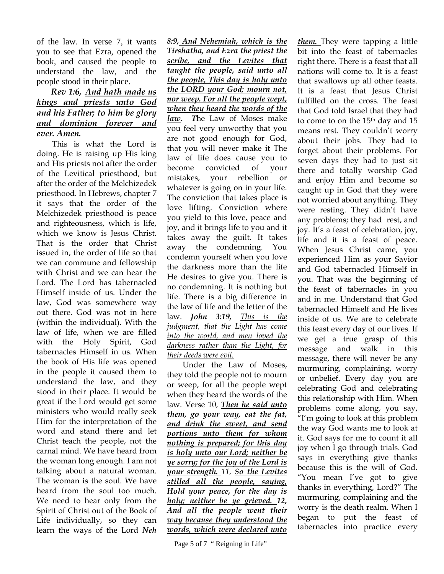of the law. In verse 7, it wants you to see that Ezra, opened the book, and caused the people to understand the law, and the people stood in their place.

## *Rev 1:6, And hath made us kings and priests unto God and his Father; to him be glory and dominion forever and ever. Amen.*

This is what the Lord is doing. He is raising up His king and His priests not after the order of the Levitical priesthood, but after the order of the Melchizedek priesthood. In Hebrews, chapter 7 it says that the order of the Melchizedek priesthood is peace and righteousness, which is life, which we know is Jesus Christ. That is the order that Christ issued in, the order of life so that we can commune and fellowship with Christ and we can hear the Lord. The Lord has tabernacled Himself inside of us. Under the law, God was somewhere way out there. God was not in here (within the individual). With the law of life, when we are filled with the Holy Spirit, God tabernacles Himself in us. When the book of His life was opened in the people it caused them to understand the law, and they stood in their place. It would be great if the Lord would get some ministers who would really seek Him for the interpretation of the word and stand there and let Christ teach the people, not the carnal mind. We have heard from the woman long enough. I am not talking about a natural woman. The woman is the soul. We have heard from the soul too much. We need to hear only from the Spirit of Christ out of the Book of Life individually, so they can learn the ways of the Lord *Neh* 

*8:9, And Nehemiah, which is the Tirshatha, and Ezra the priest the scribe, and the Levites that taught the people, said unto all the people, This day is holy unto the LORD your God; mourn not, nor weep. For all the people wept, when they heard the words of the law. T*he Law of Moses make you feel very unworthy that you are not good enough for God, that you will never make it The law of life does cause you to become convicted of your mistakes, your rebellion or whatever is going on in your life. The conviction that takes place is love lifting. Conviction where you yield to this love, peace and joy, and it brings life to you and it takes away the guilt. It takes away the condemning. You condemn yourself when you love the darkness more than the life He desires to give you. There is no condemning. It is nothing but life. There is a big difference in the law of life and the letter of the law. *John 3:19, This is the judgment, that the Light has come into the world, and men loved the darkness rather than the Light, for their deeds were evil.*

Under the Law of Moses, they told the people not to mourn or weep, for all the people wept when they heard the words of the law. Verse 10, *Then he said unto them, go your way, eat the fat, and drink the sweet, and send portions unto them for whom nothing is prepared; for this day is holy unto our Lord; neither be ye sorry; for the joy of the Lord is your strength. 11, So the Levites stilled all the people, saying, Hold your peace, for the day is holy; neither be ye grieved. 12, And all the people went their way because they understood the words, which were declared unto* 

*them.* They were tapping a little bit into the feast of tabernacles right there. There is a feast that all nations will come to. It is a feast that swallows up all other feasts. It is a feast that Jesus Christ fulfilled on the cross. The feast that God told Israel that they had to come to on the 15th day and 15 means rest. They couldn't worry about their jobs. They had to forget about their problems. For seven days they had to just sit there and totally worship God and enjoy Him and become so caught up in God that they were not worried about anything. They were resting. They didn't have any problems; they had rest, and joy. It's a feast of celebration, joy, life and it is a feast of peace. When Jesus Christ came, you experienced Him as your Savior and God tabernacled Himself in you. That was the beginning of the feast of tabernacles in you and in me. Understand that God tabernacled Himself and He lives inside of us. We are to celebrate this feast every day of our lives. If we get a true grasp of this message and walk in this message, there will never be any murmuring, complaining, worry or unbelief. Every day you are celebrating God and celebrating this relationship with Him. When problems come along, you say, "I'm going to look at this problem the way God wants me to look at it. God says for me to count it all joy when I go through trials. God says in everything give thanks because this is the will of God. "You mean I've got to give thanks in everything, Lord?" The murmuring, complaining and the worry is the death realm. When I began to put the feast of tabernacles into practice every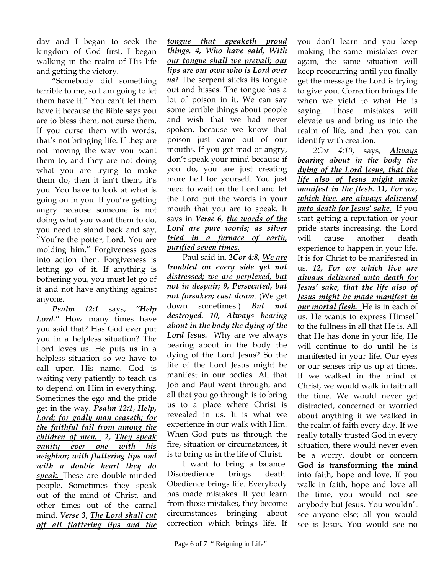day and I began to seek the kingdom of God first, I began walking in the realm of His life and getting the victory.

"Somebody did something terrible to me, so I am going to let them have it." You can't let them have it because the Bible says you are to bless them, not curse them. If you curse them with words, that's not bringing life. If they are not moving the way you want them to, and they are not doing what you are trying to make them do, then it isn't them, it's you. You have to look at what is going on in you. If you're getting angry because someone is not doing what you want them to do, you need to stand back and say, "You're the potter, Lord. You are molding him." Forgiveness goes into action then. Forgiveness is letting go of it. If anything is bothering you, you must let go of it and not have anything against anyone.

*Psalm 12:1* says, *"Help Lord."* How many times have you said that? Has God ever put you in a helpless situation? The Lord loves us. He puts us in a helpless situation so we have to call upon His name. God is waiting very patiently to teach us to depend on Him in everything. Sometimes the ego and the pride get in the way. *Psalm 12:1*, *Help, Lord; for godly man ceaseth; for the faithful fail from among the children of men. 2, They speak vanity ever one with his neighbor; with flattering lips and with a double heart they do speak.* These are double-minded people. Sometimes they speak out of the mind of Christ, and other times out of the carnal mind. *Verse 3*, *The Lord shall cut off all flattering lips and the* 

*tongue that speaketh proud things. 4, Who have said, With our tongue shall we prevail; our lips are our own who is Lord over us?* The serpent sticks its tongue out and hisses. The tongue has a lot of poison in it. We can say some terrible things about people and wish that we had never spoken, because we know that poison just came out of our mouths. If you get mad or angry, don't speak your mind because if you do, you are just creating more hell for yourself. You just need to wait on the Lord and let the Lord put the words in your mouth that you are to speak. It says in *Verse 6, the words of the Lord are pure words; as silver tried in a furnace of earth, purified seven times.*

Paul said in, *2Cor 4:8, We are troubled on every side yet not distressed; we are perplexed, but not in despair; 9, Persecuted, but not forsaken; cast down*. (We get down sometimes.) *But not destroyed. 10, Always bearing about in the body the dying of the Lord Jesus.* Why are we always bearing about in the body the dying of the Lord Jesus? So the life of the Lord Jesus might be manifest in our bodies. All that Job and Paul went through, and all that you go through is to bring us to a place where Christ is revealed in us. It is what we experience in our walk with Him. When God puts us through the fire, situation or circumstances, it is to bring us in the life of Christ.

I want to bring a balance. Disobedience brings death. Obedience brings life. Everybody has made mistakes. If you learn from those mistakes, they become circumstances bringing about correction which brings life. If you don't learn and you keep making the same mistakes over again, the same situation will keep reoccurring until you finally get the message the Lord is trying to give you. Correction brings life when we yield to what He is saying. Those mistakes will elevate us and bring us into the realm of life, and then you can identify with creation.

*2Cor 4:10***,** says, *Always bearing about in the body the dying of the Lord Jesus, that the life also of Jesus might make manifest in the flesh. 11, For we, which live, are always delivered unto death for Jesus' sake.* If you start getting a reputation or your pride starts increasing, the Lord will cause another death experience to happen in your life. It is for Christ to be manifested in us. *12, For we which live are always delivered unto death for Jesus' sake, that the life also of Jesus might be made manifest in our mortal flesh.* He is in each of us. He wants to express Himself to the fullness in all that He is. All that He has done in your life, He will continue to do until he is manifested in your life. Our eyes or our senses trip us up at times. If we walked in the mind of Christ, we would walk in faith all the time. We would never get distracted, concerned or worried about anything if we walked in the realm of faith every day. If we really totally trusted God in every situation, there would never even be a worry, doubt or concern **God is transforming the mind**  into faith, hope and love. If you walk in faith, hope and love all the time, you would not see anybody but Jesus. You wouldn't see anyone else; all you would see is Jesus. You would see no